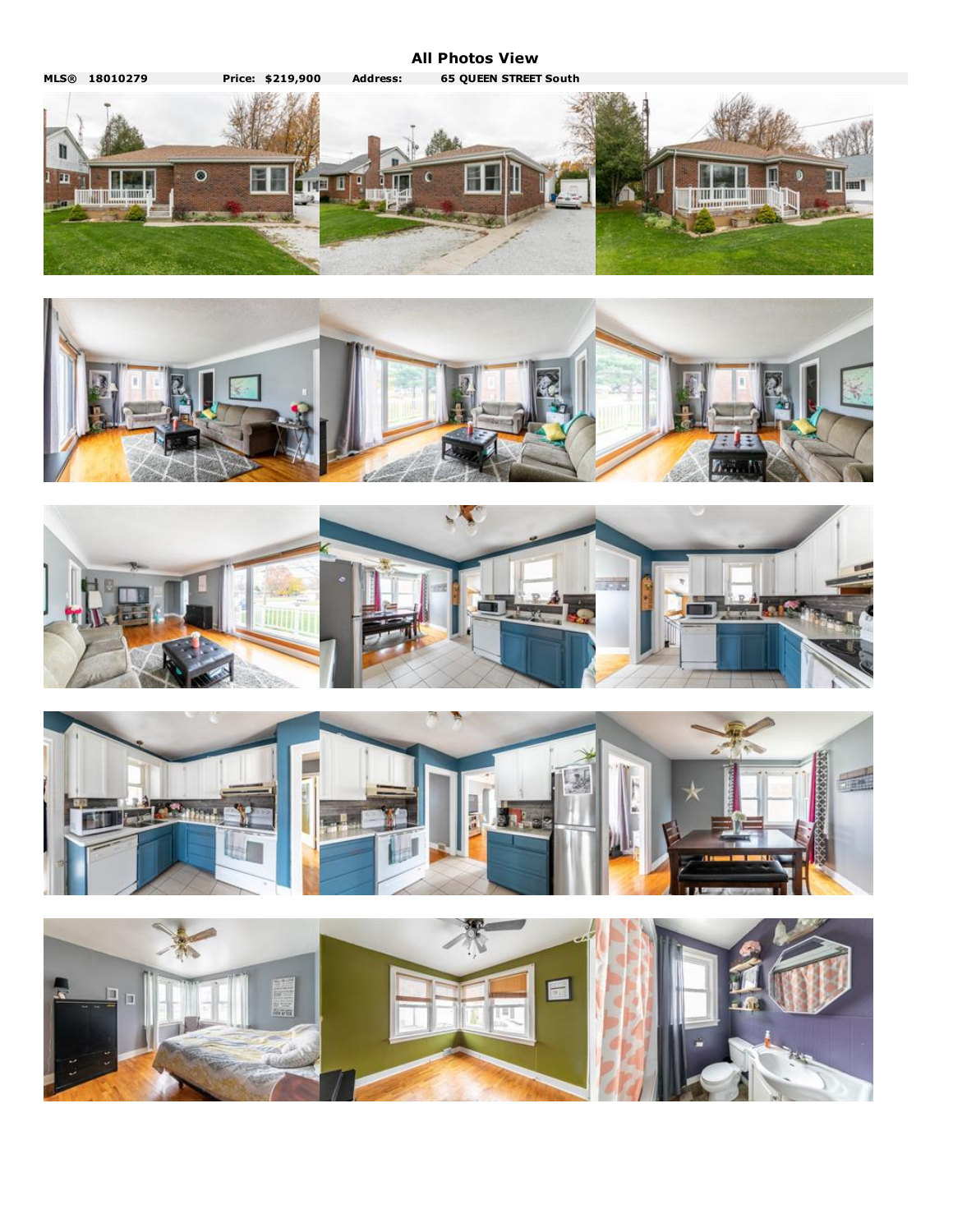## **All Photos View**









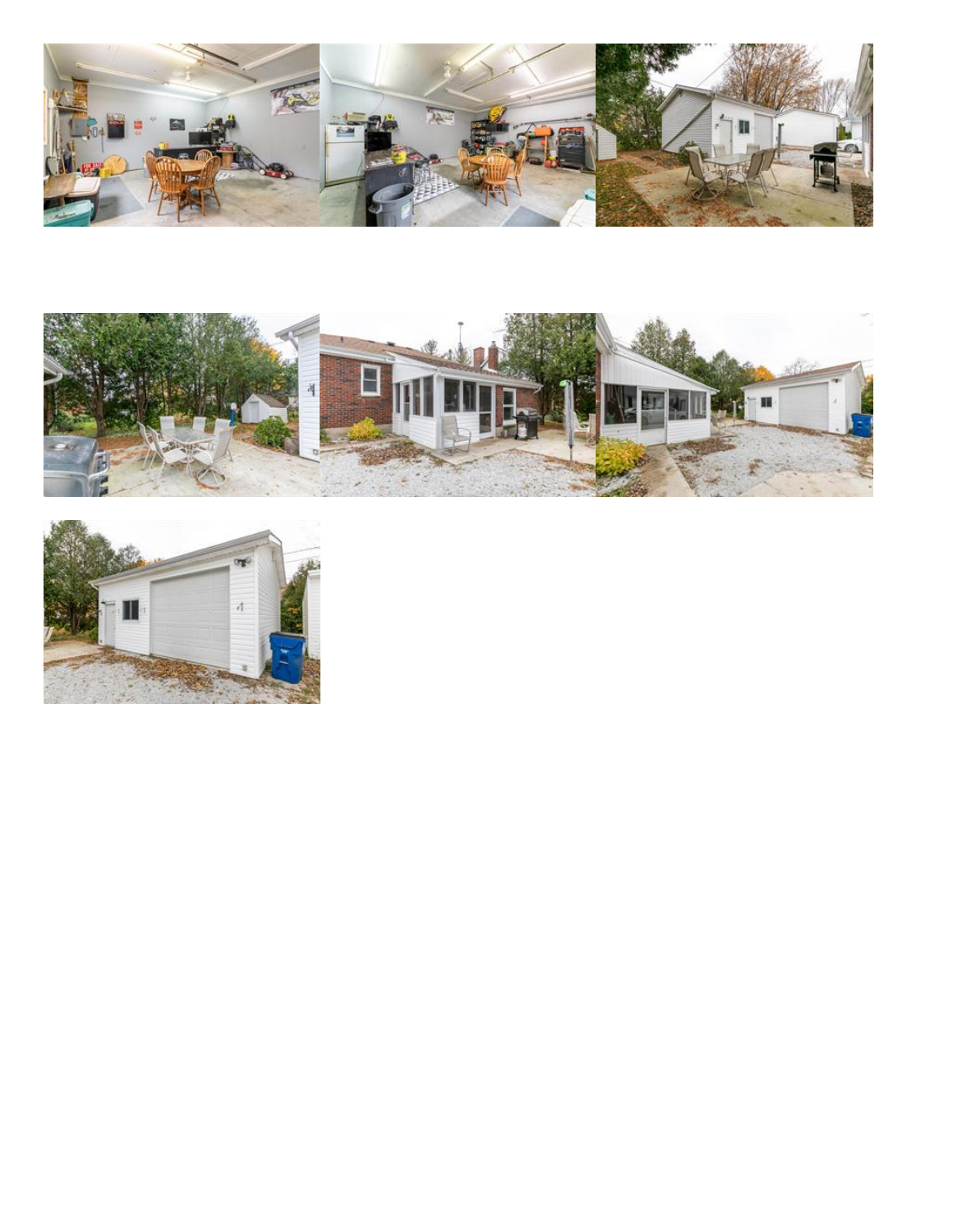